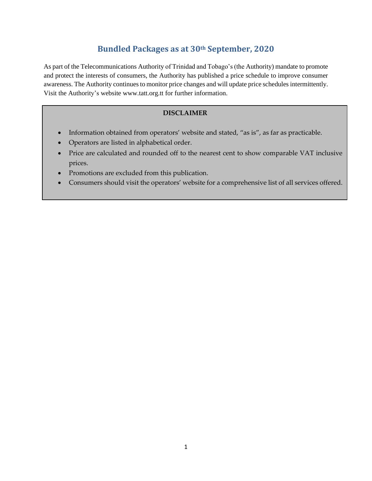### **Bundled Packages as at 30th September, 2020**

As part of the Telecommunications Authority of Trinidad and Tobago's (the Authority) mandate to promote and protect the interests of consumers, the Authority has published a price schedule to improve consumer awareness. The Authority continues to monitor price changes and will update price schedules intermittently. Visit the Authority's website www.tatt.org.tt for further information.

#### **DISCLAIMER**

- Information obtained from operators' website and stated, "as is", as far as practicable.
- Operators are listed in alphabetical order.
- Price are calculated and rounded off to the nearest cent to show comparable VAT inclusive prices.
- Promotions are excluded from this publication.
- Consumers should visit the operators' website for a comprehensive list of all services offered.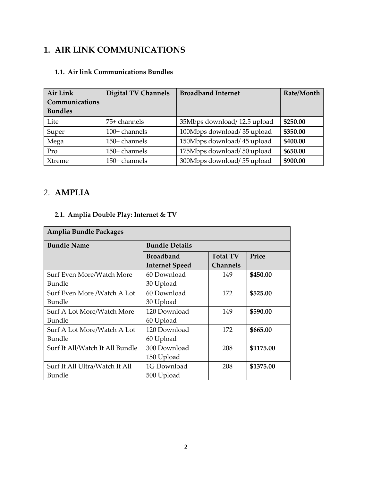## **1. AIR LINK COMMUNICATIONS**

### **1.1. Air link Communications Bundles**

| Air Link       | <b>Digital TV Channels</b> | <b>Broadband Internet</b>   | Rate/Month |
|----------------|----------------------------|-----------------------------|------------|
| Communications |                            |                             |            |
| <b>Bundles</b> |                            |                             |            |
| Lite           | 75+ channels               | 35Mbps download/12.5 upload | \$250.00   |
| Super          | 100+ channels              | 100Mbps download/35 upload  | \$350.00   |
| Mega           | 150+ channels              | 150Mbps download/45 upload  | \$400.00   |
| Pro            | 150+ channels              | 175Mbps download/50 upload  | \$650.00   |
| Xtreme         | 150+ channels              | 300Mbps download/55 upload  | \$900.00   |

## *2.* **AMPLIA**

### **2.1. Amplia Double Play: Internet & TV**

| Amplia Bundle Packages          |                       |                 |           |  |  |
|---------------------------------|-----------------------|-----------------|-----------|--|--|
| <b>Bundle Name</b>              | <b>Bundle Details</b> |                 |           |  |  |
|                                 | <b>Broadband</b>      | <b>Total TV</b> | Price     |  |  |
|                                 | <b>Internet Speed</b> | <b>Channels</b> |           |  |  |
| Surf Even More/Watch More       | 60 Download           | 149             | \$450.00  |  |  |
| <b>Bundle</b>                   | 30 Upload             |                 |           |  |  |
| Surf Even More /Watch A Lot     | 60 Download           | 172             | \$525.00  |  |  |
| Bundle                          | 30 Upload             |                 |           |  |  |
| Surf A Lot More/Watch More      | 120 Download          | 149             | \$590.00  |  |  |
| <b>Bundle</b>                   | 60 Upload             |                 |           |  |  |
| Surf A Lot More/Watch A Lot     | 120 Download          | 172             | \$665.00  |  |  |
| Bundle                          | 60 Upload             |                 |           |  |  |
| Surf It All/Watch It All Bundle | 300 Download          | 208             | \$1175.00 |  |  |
|                                 | 150 Upload            |                 |           |  |  |
| Surf It All Ultra/Watch It All  | 1G Download           | 208             | \$1375.00 |  |  |
| Bundle                          | 500 Upload            |                 |           |  |  |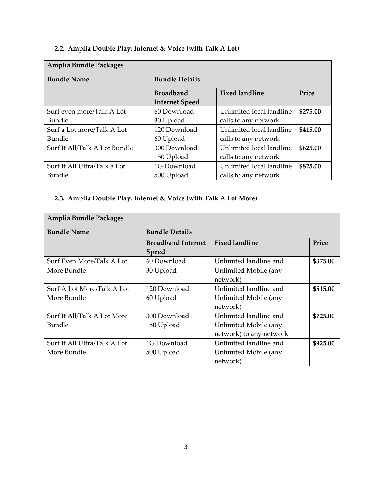### **2.2. Amplia Double Play: Internet & Voice (with Talk A Lot)**

| <b>Amplia Bundle Packages</b> |                       |                          |          |  |  |  |
|-------------------------------|-----------------------|--------------------------|----------|--|--|--|
| <b>Bundle Name</b>            | <b>Bundle Details</b> |                          |          |  |  |  |
|                               | <b>Broadband</b>      | <b>Fixed landline</b>    | Price    |  |  |  |
|                               | <b>Internet Speed</b> |                          |          |  |  |  |
| Surf even more/Talk A Lot     | 60 Download           | Unlimited local landline | \$275.00 |  |  |  |
| Bundle                        | 30 Upload             | calls to any network     |          |  |  |  |
| Surf a Lot more/Talk A Lot    | 120 Download          | Unlimited local landline | \$415.00 |  |  |  |
| Bundle                        | 60 Upload             | calls to any network     |          |  |  |  |
| Surf It All/Talk A Lot Bundle | 300 Download          | Unlimited local landline | \$625.00 |  |  |  |
|                               | 150 Upload            | calls to any network     |          |  |  |  |
| Surf It All Ultra/Talk a Lot  | 1G Download           | Unlimited local landline | \$825.00 |  |  |  |
| Bundle                        | 500 Upload            | calls to any network     |          |  |  |  |

### **2.3. Amplia Double Play: Internet & Voice (with Talk A Lot More)**

| <b>Amplia Bundle Packages</b> |                           |                         |          |  |
|-------------------------------|---------------------------|-------------------------|----------|--|
| <b>Bundle Name</b>            | <b>Bundle Details</b>     |                         |          |  |
|                               | <b>Broadband Internet</b> | <b>Fixed landline</b>   | Price    |  |
|                               | <b>Speed</b>              |                         |          |  |
| Surf Even More/Talk A Lot     | 60 Download               | Unlimited landline and  | \$375.00 |  |
| More Bundle                   | 30 Upload                 | Unlimited Mobile (any   |          |  |
|                               |                           | network)                |          |  |
| Surf A Lot More/Talk A Lot    | 120 Download              | Unlimited landline and  | \$515.00 |  |
| More Bundle                   | 60 Upload                 | Unlimited Mobile (any   |          |  |
|                               |                           | network)                |          |  |
| Surf It All/Talk A Lot More   | 300 Download              | Unlimited landline and  | \$725.00 |  |
| Bundle                        | 150 Upload                | Unlimited Mobile (any   |          |  |
|                               |                           | network) to any network |          |  |
| Surf It All Ultra/Talk A Lot  | 1G Download               | Unlimited landline and  | \$925.00 |  |
| More Bundle                   | 500 Upload                | Unlimited Mobile (any   |          |  |
|                               |                           | network)                |          |  |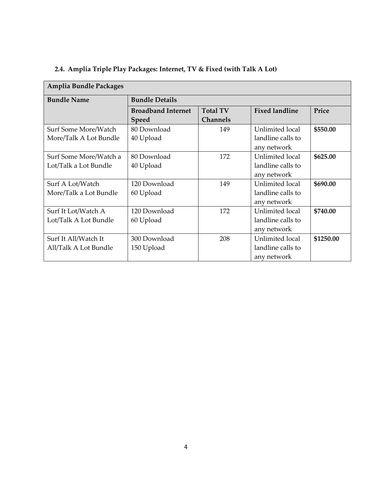| Amplia Bundle Packages |                           |                 |                       |           |  |  |
|------------------------|---------------------------|-----------------|-----------------------|-----------|--|--|
| <b>Bundle Name</b>     | <b>Bundle Details</b>     |                 |                       |           |  |  |
|                        | <b>Broadband Internet</b> | <b>Total TV</b> | <b>Fixed landline</b> | Price     |  |  |
|                        | <b>Speed</b>              | <b>Channels</b> |                       |           |  |  |
| Surf Some More/Watch   | 80 Download               | 149             | Unlimited local       | \$550.00  |  |  |
| More/Talk A Lot Bundle | 40 Upload                 |                 | landline calls to     |           |  |  |
|                        |                           |                 | any network           |           |  |  |
| Surf Some More/Watch a | 80 Download               | 172             | Unlimited local       | \$625.00  |  |  |
| Lot/Talk a Lot Bundle  | 40 Upload                 |                 | landline calls to     |           |  |  |
|                        |                           |                 | any network           |           |  |  |
| Surf A Lot/Watch       | 120 Download              | 149             | Unlimited local       | \$690.00  |  |  |
| More/Talk a Lot Bundle | 60 Upload                 |                 | landline calls to     |           |  |  |
|                        |                           |                 | any network           |           |  |  |
| Surf It Lot/Watch A    | 120 Download              | 172             | Unlimited local       | \$740.00  |  |  |
| Lot/Talk A Lot Bundle  | 60 Upload                 |                 | landline calls to     |           |  |  |
|                        |                           |                 | any network           |           |  |  |
| Surf It All/Watch It   | 300 Download              | 208             | Unlimited local       | \$1250.00 |  |  |
| All/Talk A Lot Bundle  | 150 Upload                |                 | landline calls to     |           |  |  |
|                        |                           |                 | any network           |           |  |  |

### **2.4. Amplia Triple Play Packages: Internet, TV & Fixed (with Talk A Lot)**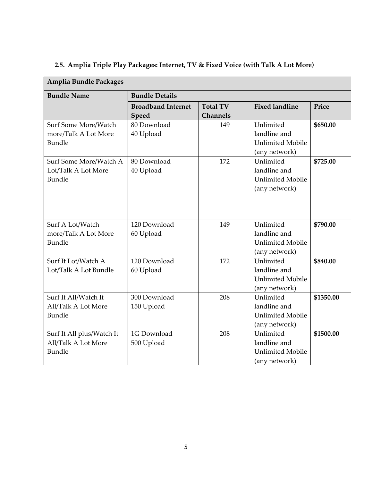| <b>Amplia Bundle Packages</b>                                  |                                    |                                    |                                                                       |           |
|----------------------------------------------------------------|------------------------------------|------------------------------------|-----------------------------------------------------------------------|-----------|
| <b>Bundle Name</b>                                             | <b>Bundle Details</b>              |                                    |                                                                       |           |
|                                                                | <b>Broadband Internet</b><br>Speed | <b>Total TV</b><br><b>Channels</b> | <b>Fixed landline</b>                                                 | Price     |
| Surf Some More/Watch<br>more/Talk A Lot More<br><b>Bundle</b>  | 80 Download<br>40 Upload           | 149                                | Unlimited<br>landline and<br><b>Unlimited Mobile</b><br>(any network) | \$650.00  |
| Surf Some More/Watch A<br>Lot/Talk A Lot More<br><b>Bundle</b> | 80 Download<br>40 Upload           | 172                                | Unlimited<br>landline and<br><b>Unlimited Mobile</b><br>(any network) | \$725.00  |
| Surf A Lot/Watch<br>more/Talk A Lot More<br><b>Bundle</b>      | 120 Download<br>60 Upload          | 149                                | Unlimited<br>landline and<br><b>Unlimited Mobile</b><br>(any network) | \$790.00  |
| Surf It Lot/Watch A<br>Lot/Talk A Lot Bundle                   | 120 Download<br>60 Upload          | 172                                | Unlimited<br>landline and<br><b>Unlimited Mobile</b><br>(any network) | \$840.00  |
| Surf It All/Watch It<br>All/Talk A Lot More<br>Bundle          | 300 Download<br>150 Upload         | 208                                | Unlimited<br>landline and<br><b>Unlimited Mobile</b><br>(any network) | \$1350.00 |
| Surf It All plus/Watch It<br>All/Talk A Lot More<br>Bundle     | 1G Download<br>500 Upload          | 208                                | Unlimited<br>landline and<br><b>Unlimited Mobile</b><br>(any network) | \$1500.00 |

# **2.5. Amplia Triple Play Packages: Internet, TV & Fixed Voice (with Talk A Lot More)**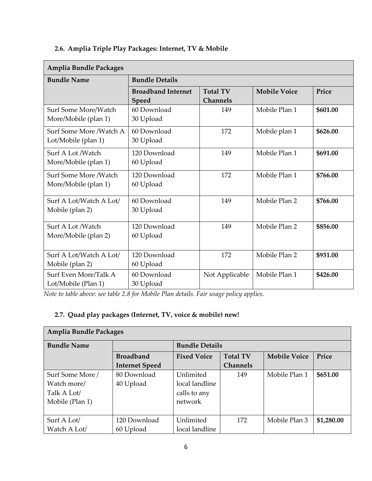### **2.6. Amplia Triple Play Packages: Internet, TV & Mobile**

| <b>Amplia Bundle Packages</b>                  |                                    |                                    |                     |          |  |
|------------------------------------------------|------------------------------------|------------------------------------|---------------------|----------|--|
| <b>Bundle Name</b>                             | <b>Bundle Details</b>              |                                    |                     |          |  |
|                                                | <b>Broadband Internet</b><br>Speed | <b>Total TV</b><br><b>Channels</b> | <b>Mobile Voice</b> | Price    |  |
| Surf Some More/Watch<br>More/Mobile (plan 1)   | 60 Download<br>30 Upload           | 149                                | Mobile Plan 1       | \$601.00 |  |
| Surf Some More /Watch A<br>Lot/Mobile (plan 1) | 60 Download<br>30 Upload           | 172                                | Mobile plan 1       | \$626.00 |  |
| Surf A Lot /Watch<br>More/Mobile (plan 1)      | 120 Download<br>60 Upload          | 149                                | Mobile Plan 1       | \$691.00 |  |
| Surf Some More /Watch<br>More/Mobile (plan 1)  | 120 Download<br>60 Upload          | 172                                | Mobile Plan 1       | \$766.00 |  |
| Surf A Lot/Watch A Lot/<br>Mobile (plan 2)     | 60 Download<br>30 Upload           | 149                                | Mobile Plan 2       | \$766.00 |  |
| Surf A Lot /Watch<br>More/Mobile (plan 2)      | 120 Download<br>60 Upload          | 149                                | Mobile Plan 2       | \$856.00 |  |
| Surf A Lot/Watch A Lot/<br>Mobile (plan 2)     | 120 Download<br>60 Upload          | 172                                | Mobile Plan 2       | \$931.00 |  |
| Surf Even More/Talk A<br>Lot/Mobile (Plan 1)   | 60 Download<br>30 Upload           | Not Applicable                     | Mobile Plan 1       | \$426.00 |  |

*Note to table above: see table 2.8 for Mobile Plan details. Fair usage policy applies.*

#### **2.7. Quad play packages (Internet, TV, voice & mobile) new!**

| Amplia Bundle Packages |                       |                       |                 |                     |            |  |
|------------------------|-----------------------|-----------------------|-----------------|---------------------|------------|--|
| <b>Bundle Name</b>     |                       | <b>Bundle Details</b> |                 |                     |            |  |
|                        | <b>Broadband</b>      | <b>Fixed Voice</b>    | <b>Total TV</b> | <b>Mobile Voice</b> | Price      |  |
|                        | <b>Internet Speed</b> |                       | <b>Channels</b> |                     |            |  |
| Surf Some More /       | 80 Download           | Unlimited             | 149             | Mobile Plan 1       | \$651.00   |  |
| Watch more/            | 40 Upload             | local landline        |                 |                     |            |  |
| Talk A Lot/            |                       | calls to any          |                 |                     |            |  |
| Mobile (Plan 1)        |                       | network               |                 |                     |            |  |
|                        |                       |                       |                 |                     |            |  |
| Surf A Lot/            | 120 Download          | Unlimited             | 172             | Mobile Plan 3       | \$1,280.00 |  |
| Watch A Lot/           | 60 Upload             | local landline        |                 |                     |            |  |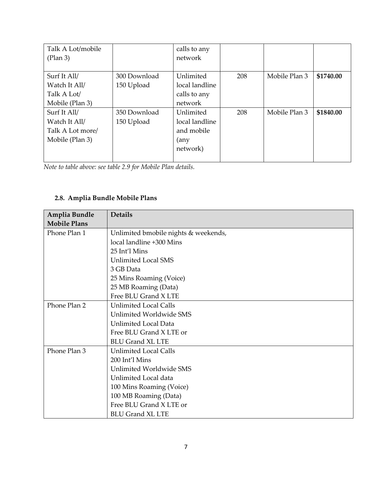| Talk A Lot/mobile |              | calls to any   |     |               |           |
|-------------------|--------------|----------------|-----|---------------|-----------|
| (Plan 3)          |              | network        |     |               |           |
|                   |              |                |     |               |           |
| Surf It All/      | 300 Download | Unlimited      | 208 | Mobile Plan 3 | \$1740.00 |
| Watch It All/     | 150 Upload   | local landline |     |               |           |
| Talk A Lot/       |              | calls to any   |     |               |           |
| Mobile (Plan 3)   |              | network        |     |               |           |
| Surf It All/      | 350 Download | Unlimited      | 208 | Mobile Plan 3 | \$1840.00 |
| Watch It All/     | 150 Upload   | local landline |     |               |           |
| Talk A Lot more/  |              | and mobile     |     |               |           |
| Mobile (Plan 3)   |              | (any           |     |               |           |
|                   |              | network)       |     |               |           |
|                   |              |                |     |               |           |

*Note to table above: see table 2.9 for Mobile Plan details.*

### **2.8. Amplia Bundle Mobile Plans**

| Amplia Bundle<br><b>Mobile Plans</b> | <b>Details</b>                       |
|--------------------------------------|--------------------------------------|
| Phone Plan 1                         | Unlimited bmobile nights & weekends, |
|                                      | local landline +300 Mins             |
|                                      | 25 Int'l Mins                        |
|                                      | <b>Unlimited Local SMS</b>           |
|                                      | 3 GB Data                            |
|                                      | 25 Mins Roaming (Voice)              |
|                                      | 25 MB Roaming (Data)                 |
|                                      | Free BLU Grand X LTE                 |
| Phone Plan 2                         | <b>Unlimited Local Calls</b>         |
|                                      | Unlimited Worldwide SMS              |
|                                      | <b>Unlimited Local Data</b>          |
|                                      | Free BLU Grand X LTE or              |
|                                      | <b>BLU Grand XL LTE</b>              |
| Phone Plan 3                         | <b>Unlimited Local Calls</b>         |
|                                      | 200 Int'l Mins                       |
|                                      | Unlimited Worldwide SMS              |
|                                      | Unlimited Local data                 |
|                                      | 100 Mins Roaming (Voice)             |
|                                      | 100 MB Roaming (Data)                |
|                                      | Free BLU Grand X LTE or              |
|                                      | <b>BLU Grand XL LTE</b>              |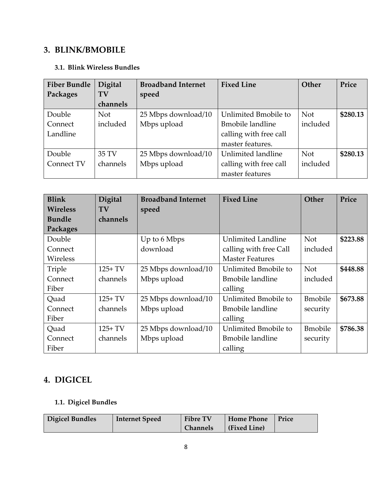### **3. BLINK/BMOBILE**

#### **3.1. Blink Wireless Bundles**

| <b>Fiber Bundle</b> | Digital    | <b>Broadband Internet</b> | <b>Fixed Line</b>        | Other      | Price    |
|---------------------|------------|---------------------------|--------------------------|------------|----------|
| Packages            | TV         | speed                     |                          |            |          |
|                     | channels   |                           |                          |            |          |
| Double              | <b>Not</b> | 25 Mbps download/10       | Unlimited Bmobile to     | <b>Not</b> | \$280.13 |
| Connect             | included   | Mbps upload               | <b>B</b> mobile landline | included   |          |
| Landline            |            |                           | calling with free call   |            |          |
|                     |            |                           | master features.         |            |          |
| Double              | 35 TV      | 25 Mbps download/10       | Unlimited landline       | <b>Not</b> | \$280.13 |
| Connect TV          | channels   | Mbps upload               | calling with free call   | included   |          |
|                     |            |                           | master features          |            |          |

| <b>Blink</b>    | Digital   | <b>Broadband Internet</b> | <b>Fixed Line</b>         | Other           | Price    |
|-----------------|-----------|---------------------------|---------------------------|-----------------|----------|
| <b>Wireless</b> | TV        | speed                     |                           |                 |          |
| <b>Bundle</b>   | channels  |                           |                           |                 |          |
| Packages        |           |                           |                           |                 |          |
| Double          |           | Up to 6 Mbps              | <b>Unlimited Landline</b> | <b>Not</b>      | \$223.88 |
| Connect         |           | download                  | calling with free Call    | included        |          |
| Wireless        |           |                           | <b>Master Features</b>    |                 |          |
| Triple          | $125+TV$  | 25 Mbps download/10       | Unlimited Bmobile to      | <b>Not</b>      | \$448.88 |
| Connect         | channels  | Mbps upload               | <b>B</b> mobile landline  | included        |          |
| Fiber           |           |                           | calling                   |                 |          |
| Quad            | $125+ TV$ | 25 Mbps download/10       | Unlimited Bmobile to      | <b>B</b> mobile | \$673.88 |
| Connect         | channels  | Mbps upload               | <b>B</b> mobile landline  | security        |          |
| Fiber           |           |                           | calling                   |                 |          |
| Quad            | $125+ TV$ | 25 Mbps download/10       | Unlimited Bmobile to      | <b>B</b> mobile | \$786.38 |
| Connect         | channels  | Mbps upload               | <b>B</b> mobile landline  | security        |          |
| Fiber           |           |                           | calling                   |                 |          |

# **4. DIGICEL**

# **1.1. Digicel Bundles**

| Digicel Bundles | <b>Internet Speed</b> | <b>Fibre TV</b> | <b>Home Phone</b> | Price |
|-----------------|-----------------------|-----------------|-------------------|-------|
|                 |                       | <b>Channels</b> | (Fixed Line)      |       |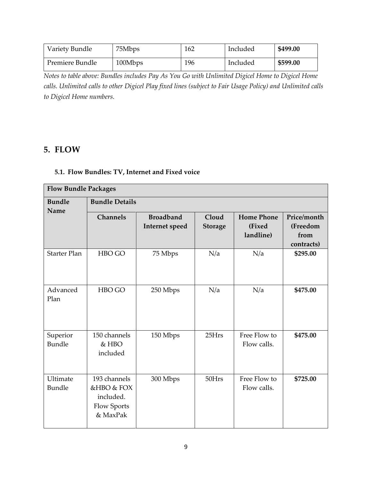| Variety Bundle  | 75Mbps  | 162 | Included | \$499.00 |
|-----------------|---------|-----|----------|----------|
| Premiere Bundle | 100Mbps | 196 | Included | \$599.00 |

*Notes to table above: Bundles includes Pay As You Go with Unlimited Digicel Home to Digicel Home calls. Unlimited calls to other Digicel Play fixed lines (subject to Fair Usage Policy) and Unlimited calls to Digicel Home numbers.*

### **5. FLOW**

#### **5.1. Flow Bundles: TV, Internet and Fixed voice**

| <b>Flow Bundle Packages</b> |                                                                    |                                    |                         |                                          |                                               |  |
|-----------------------------|--------------------------------------------------------------------|------------------------------------|-------------------------|------------------------------------------|-----------------------------------------------|--|
| <b>Bundle</b><br>Name       | <b>Bundle Details</b>                                              |                                    |                         |                                          |                                               |  |
|                             | <b>Channels</b>                                                    | <b>Broadband</b><br>Internet speed | Cloud<br><b>Storage</b> | <b>Home Phone</b><br>(Fixed<br>landline) | Price/month<br>(Freedom<br>from<br>contracts) |  |
| <b>Starter Plan</b>         | HBO GO                                                             | 75 Mbps                            | N/a                     | N/a                                      | \$295.00                                      |  |
| Advanced<br>Plan            | HBO GO                                                             | 250 Mbps                           | N/a                     | N/a                                      | \$475.00                                      |  |
| Superior<br>Bundle          | 150 channels<br>& HBO<br>included                                  | 150 Mbps                           | 25Hrs                   | Free Flow to<br>Flow calls.              | \$475.00                                      |  |
| Ultimate<br>Bundle          | 193 channels<br>&HBO & FOX<br>included.<br>Flow Sports<br>& MaxPak | 300 Mbps                           | 50Hrs                   | Free Flow to<br>Flow calls.              | \$725.00                                      |  |